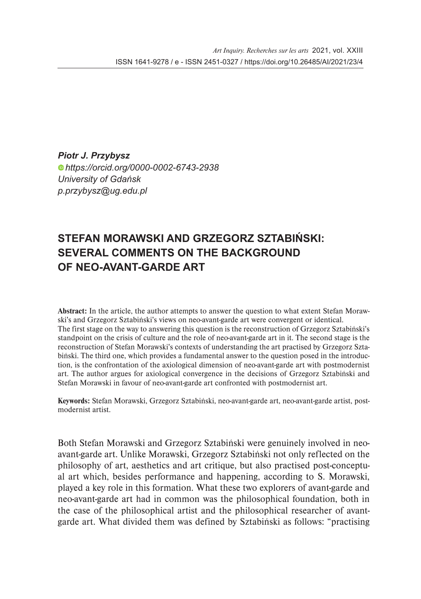*Piotr J. Przybysz https://orcid.org/0000-0002-6743-2938 University of Gdańsk p.przybysz@ug.edu.pl*

## **STEFAN MORAWSKI AND GRZEGORZ SZTABIŃSKI: SEVERAL COMMENTS ON THE BACKGROUND OF NEO-AVANT-GARDE ART**

Abstract: In the article, the author attempts to answer the question to what extent Stefan Morawski's and Grzegorz Sztabiński's views on neo-avant-garde art were convergent or identical. The first stage on the way to answering this question is the reconstruction of Grzegorz Sztabiński's standpoint on the crisis of culture and the role of neo-avant-garde art in it. The second stage is the reconstruction of Stefan Morawski's contexts of understanding the art practised by Grzegorz Sztabiński. The third one, which provides a fundamental answer to the question posed in the introduction, is the confrontation of the axiological dimension of neo-avant-garde art with postmodernist art. The author argues for axiological convergence in the decisions of Grzegorz Sztabiński and Stefan Morawski in favour of neo-avant-garde art confronted with postmodernist art.

Keywords: Stefan Morawski, Grzegorz Sztabiński, neo-avant-garde art, neo-avant-garde artist, postmodernist artist.

Both Stefan Morawski and Grzegorz Sztabiński were genuinely involved in neoavant-garde art. Unlike Morawski, Grzegorz Sztabiński not only reflected on the philosophy of art, aesthetics and art critique, but also practised post-conceptual art which, besides performance and happening, according to S. Morawski, played a key role in this formation. What these two explorers of avant-garde and neo-avant-garde art had in common was the philosophical foundation, both in the case of the philosophical artist and the philosophical researcher of avantgarde art. What divided them was defined by Sztabiński as follows: "practising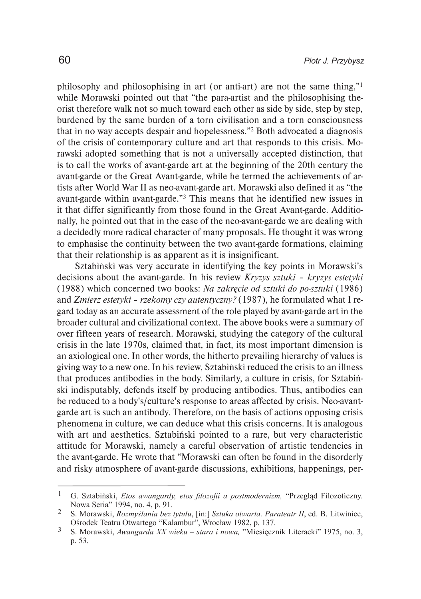philosophy and philosophising in art (or anti-art) are not the same thing,"1 while Morawski pointed out that "the para-artist and the philosophising theorist therefore walk not so much toward each other as side by side, step by step, burdened by the same burden of a torn civilisation and a torn consciousness that in no way accepts despair and hopelessness."2 Both advocated a diagnosis of the crisis of contemporary culture and art that responds to this crisis. Morawski adopted something that is not a universally accepted distinction, that is to call the works of avant-garde art at the beginning of the 20th century the avant-garde or the Great Avant-garde, while he termed the achievements of artists after World War II as neo-avant-garde art. Morawski also defined it as "the avant-garde within avant-garde."3 This means that he identified new issues in it that differ significantly from those found in the Great Avant-garde. Additionally, he pointed out that in the case of the neo-avant-garde we are dealing with a decidedly more radical character of many proposals. He thought it was wrong to emphasise the continuity between the two avant-garde formations, claiming that their relationship is as apparent as it is insignificant.

Sztabiński was very accurate in identifying the key points in Morawski's decisions about the avant-garde. In his review *Kryzys sztuki – kryzys estetyki*  (1988) which concerned two books: *Na zakręcie od sztuki do po-sztuki* (1986) and *Zmierz estetyki – rzekomy czy autentyczny?* (1987), he formulated what I regard today as an accurate assessment of the role played by avant-garde art in the broader cultural and civilizational context. The above books were a summary of over fifteen years of research. Morawski, studying the category of the cultural crisis in the late 1970s, claimed that, in fact, its most important dimension is an axiological one. In other words, the hitherto prevailing hierarchy of values is giving way to a new one. In his review, Sztabiński reduced the crisis to an illness that produces antibodies in the body. Similarly, a culture in crisis, for Sztabiński indisputably, defends itself by producing antibodies. Thus, antibodies can be reduced to a body's/culture's response to areas affected by crisis. Neo-avantgarde art is such an antibody. Therefore, on the basis of actions opposing crisis phenomena in culture, we can deduce what this crisis concerns. It is analogous with art and aesthetics. Sztabiński pointed to a rare, but very characteristic attitude for Morawski, namely a careful observation of artistic tendencies in the avant-garde. He wrote that "Morawski can often be found in the disorderly and risky atmosphere of avant-garde discussions, exhibitions, happenings, per-

G. Sztabiński, *Etos awangardy, etos filozofii a postmodernizm,* "Przegląd Filozoficzny. Nowa Seria" 1994, no. 4, p. 91. 1

S. Morawski, *Rozmyślania bez tytułu*, [in:] *Sztuka otwarta. Parateatr II*, ed. B. Litwiniec, Ośrodek Teatru Otwartego "Kalambur", Wrocław 1982, p. 137. 2

S. Morawski, *Awangarda XX wieku – stara i nowa,* "Miesięcznik Literacki" 1975, no. 3, p. 53. 3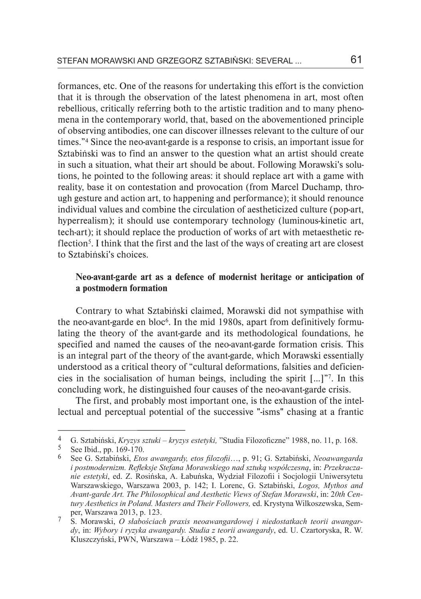formances, etc. One of the reasons for undertaking this effort is the conviction that it is through the observation of the latest phenomena in art, most often rebellious, critically referring both to the artistic tradition and to many phenomena in the contemporary world, that, based on the abovementioned principle of observing antibodies, one can discover illnesses relevant to the culture of our times."4 Since the neo-avant-garde is a response to crisis, an important issue for Sztabiński was to find an answer to the question what an artist should create in such a situation, what their art should be about. Following Morawski's solutions, he pointed to the following areas: it should replace art with a game with reality, base it on contestation and provocation (from Marcel Duchamp, through gesture and action art, to happening and performance); it should renounce individual values and combine the circulation of aestheticized culture (pop-art, hyperrealism); it should use contemporary technology (luminous-kinetic art, tech-art); it should replace the production of works of art with metaesthetic reflection<sup>5</sup>. I think that the first and the last of the ways of creating art are closest to Sztabiński's choices.

### Neo-avant-garde art as a defence of modernist heritage or anticipation of a postmodern formation

Contrary to what Sztabiński claimed, Morawski did not sympathise with the neo-avant-garde en bloc<sup>6</sup>. In the mid 1980s, apart from definitively formulating the theory of the avant-garde and its methodological foundations, he specified and named the causes of the neo-avant-garde formation crisis. This is an integral part of the theory of the avant-garde, which Morawski essentially understood as a critical theory of "cultural deformations, falsities and deficiencies in the socialisation of human beings, including the spirit […]"7. In this concluding work, he distinguished four causes of the neo-avant-garde crisis.

The first, and probably most important one, is the exhaustion of the intellectual and perceptual potential of the successive "-isms" chasing at a frantic

G. Sztabiński, *Kryzys sztuki – kryzys estetyki,* "Studia Filozoficzne" 1988, no. 11, p. 168. 4

See Ibid., pp. 169-170. 5

See G. Sztabiński, *Etos awangardy, etos filozofii*…, p. 91; G. Sztabiński, *Neoawangarda i postmodernizm. Refleksje Stefana Morawskiego nad sztuką współczesną*, in: *Przekraczanie estetyki*, ed. Z. Rosińska, A. Łabuńska, Wydział Filozofii i Socjologii Uniwersytetu Warszawskiego, Warszawa 2003, p. 142; I. Lorenc, G. Sztabiński, *Logos, Mythos and Avant-garde Art. The Philosophical and Aesthetic Views of Stefan Morawski*, in: 2*0th Century Aesthetics in Poland. Masters and Their Followers,* ed. Krystyna Wilkoszewska, Semper, Warszawa 2013, p. 123. 6

S. Morawski, *O słabościach praxis neoawangardowej i niedostatkach teorii awangardy*, in: *Wybory i ryzyka awangardy. Studia z teorii awangardy*, ed. U. Czartoryska, R. W. Kluszczyński, PWN, Warszawa – Łódź 1985, p. 22. 7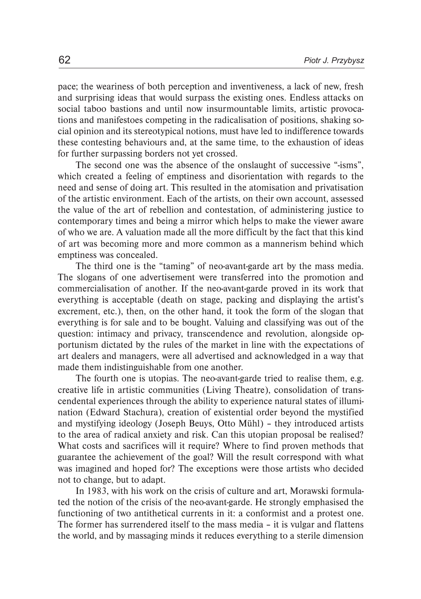pace; the weariness of both perception and inventiveness, a lack of new, fresh and surprising ideas that would surpass the existing ones. Endless attacks on social taboo bastions and until now insurmountable limits, artistic provocations and manifestoes competing in the radicalisation of positions, shaking social opinion and its stereotypical notions, must have led to indifference towards these contesting behaviours and, at the same time, to the exhaustion of ideas for further surpassing borders not yet crossed.

The second one was the absence of the onslaught of successive "-isms", which created a feeling of emptiness and disorientation with regards to the need and sense of doing art. This resulted in the atomisation and privatisation of the artistic environment. Each of the artists, on their own account, assessed the value of the art of rebellion and contestation, of administering justice to contemporary times and being a mirror which helps to make the viewer aware of who we are. A valuation made all the more difficult by the fact that this kind of art was becoming more and more common as a mannerism behind which emptiness was concealed.

The third one is the "taming" of neo-avant-garde art by the mass media. The slogans of one advertisement were transferred into the promotion and commercialisation of another. If the neo-avant-garde proved in its work that everything is acceptable (death on stage, packing and displaying the artist's excrement, etc.), then, on the other hand, it took the form of the slogan that everything is for sale and to be bought. Valuing and classifying was out of the question: intimacy and privacy, transcendence and revolution, alongside opportunism dictated by the rules of the market in line with the expectations of art dealers and managers, were all advertised and acknowledged in a way that made them indistinguishable from one another.

The fourth one is utopias. The neo-avant-garde tried to realise them, e.g. creative life in artistic communities (Living Theatre), consolidation of transcendental experiences through the ability to experience natural states of illumination (Edward Stachura), creation of existential order beyond the mystified and mystifying ideology (Joseph Beuys, Otto Mühl) – they introduced artists to the area of radical anxiety and risk. Can this utopian proposal be realised? What costs and sacrifices will it require? Where to find proven methods that guarantee the achievement of the goal? Will the result correspond with what was imagined and hoped for? The exceptions were those artists who decided not to change, but to adapt.

In 1983, with his work on the crisis of culture and art, Morawski formulated the notion of the crisis of the neo-avant-garde. He strongly emphasised the functioning of two antithetical currents in it: a conformist and a protest one. The former has surrendered itself to the mass media – it is vulgar and flattens the world, and by massaging minds it reduces everything to a sterile dimension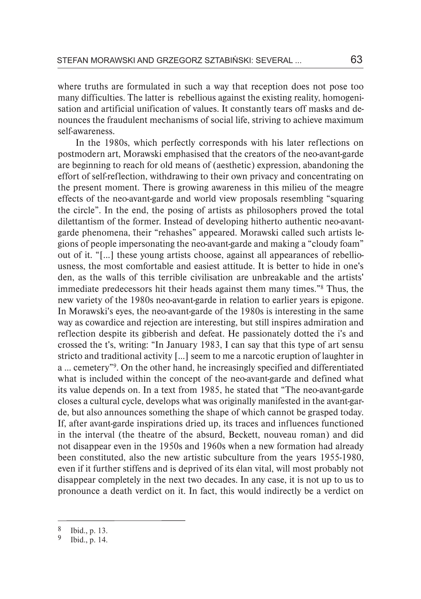where truths are formulated in such a way that reception does not pose too many difficulties. The latter is rebellious against the existing reality, homogenisation and artificial unification of values. It constantly tears off masks and denounces the fraudulent mechanisms of social life, striving to achieve maximum self-awareness.

In the 1980s, which perfectly corresponds with his later reflections on postmodern art, Morawski emphasised that the creators of the neo-avant-garde are beginning to reach for old means of (aesthetic) expression, abandoning the effort of self-reflection, withdrawing to their own privacy and concentrating on the present moment. There is growing awareness in this milieu of the meagre effects of the neo-avant-garde and world view proposals resembling "squaring the circle". In the end, the posing of artists as philosophers proved the total dilettantism of the former. Instead of developing hitherto authentic neo-avantgarde phenomena, their "rehashes" appeared. Morawski called such artists legions of people impersonating the neo-avant-garde and making a "cloudy foam" out of it. "[...] these young artists choose, against all appearances of rebelliousness, the most comfortable and easiest attitude. It is better to hide in one's den, as the walls of this terrible civilisation are unbreakable and the artists' immediate predecessors hit their heads against them many times."8 Thus, the new variety of the 1980s neo-avant-garde in relation to earlier years is epigone. In Morawski's eyes, the neo-avant-garde of the 1980s is interesting in the same way as cowardice and rejection are interesting, but still inspires admiration and reflection despite its gibberish and defeat. He passionately dotted the i's and crossed the t's, writing: "In January 1983, I can say that this type of art sensu stricto and traditional activity [...] seem to me a narcotic eruption of laughter in a ... cemetery"9. On the other hand, he increasingly specified and differentiated what is included within the concept of the neo-avant-garde and defined what its value depends on. In a text from 1985, he stated that "The neo-avant-garde closes a cultural cycle, develops what was originally manifested in the avant-garde, but also announces something the shape of which cannot be grasped today. If, after avant-garde inspirations dried up, its traces and influences functioned in the interval (the theatre of the absurd, Beckett, nouveau roman) and did not disappear even in the 1950s and 1960s when a new formation had already been constituted, also the new artistic subculture from the years 1955-1980, even if it further stiffens and is deprived of its élan vital, will most probably not disappear completely in the next two decades. In any case, it is not up to us to pronounce a death verdict on it. In fact, this would indirectly be a verdict on

Ibid., p. 13. 8

Ibid., p. 14. 9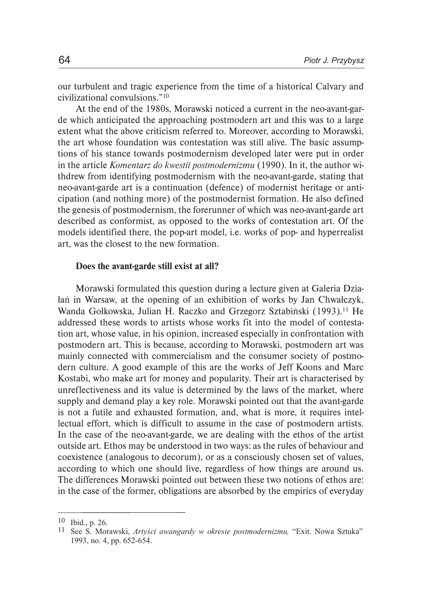our turbulent and tragic experience from the time of a historical Calvary and civilizational convulsions."<sup>10</sup>

At the end of the 1980s, Morawski noticed a current in the neo-avant-garde which anticipated the approaching postmodern art and this was to a large extent what the above criticism referred to. Moreover, according to Morawski, the art whose foundation was contestation was still alive. The basic assumptions of his stance towards postmodernism developed later were put in order in the article *Komentarz do kwestii postmodernizmu* (1990). In it, the author withdrew from identifying postmodernism with the neo-avant-garde, stating that neo-avant-garde art is a continuation (defence) of modernist heritage or anticipation (and nothing more) of the postmodernist formation. He also defined the genesis of postmodernism, the forerunner of which was neo-avant-garde art described as conformist, as opposed to the works of contestation art. Of the models identified there, the pop-art model, i.e. works of pop- and hyperrealist art, was the closest to the new formation.

#### Does the avant-garde still exist at all?

Morawski formulated this question during a lecture given at Galeria Działań in Warsaw, at the opening of an exhibition of works by Jan Chwałczyk, Wanda Gołkowska, Julian H. Raczko and Grzegorz Sztabiński (1993).11 He addressed these words to artists whose works fit into the model of contestation art, whose value, in his opinion, increased especially in confrontation with postmodern art. This is because, according to Morawski, postmodern art was mainly connected with commercialism and the consumer society of postmodern culture. A good example of this are the works of Jeff Koons and Marc Kostabi, who make art for money and popularity. Their art is characterised by unreflectiveness and its value is determined by the laws of the market, where supply and demand play a key role. Morawski pointed out that the avant-garde is not a futile and exhausted formation, and, what is more, it requires intellectual effort, which is difficult to assume in the case of postmodern artists. In the case of the neo-avant-garde, we are dealing with the ethos of the artist outside art. Ethos may be understood in two ways: as the rules of behaviour and coexistence (analogous to decorum), or as a consciously chosen set of values, according to which one should live, regardless of how things are around us. The differences Morawski pointed out between these two notions of ethos are: in the case of the former, obligations are absorbed by the empirics of everyday

Ibid., p. 26. 10

<sup>&</sup>lt;sup>11</sup> See S. Morawski, Artyści awangardy w okresie postmodernizmu, "Exit. Nowa Sztuka" 1993, no. 4, pp. 652-654.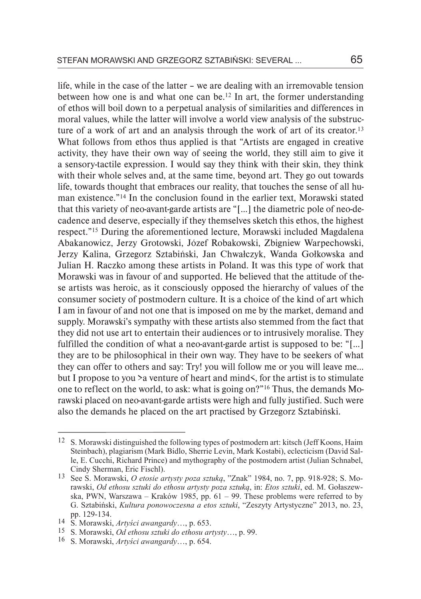life, while in the case of the latter – we are dealing with an irremovable tension between how one is and what one can be.<sup>12</sup> In art, the former understanding of ethos will boil down to a perpetual analysis of similarities and differences in moral values, while the latter will involve a world view analysis of the substructure of a work of art and an analysis through the work of art of its creator.<sup>13</sup> What follows from ethos thus applied is that "Artists are engaged in creative activity, they have their own way of seeing the world, they still aim to give it a sensory-tactile expression. I would say they think with their skin, they think with their whole selves and, at the same time, beyond art. They go out towards life, towards thought that embraces our reality, that touches the sense of all human existence."14 In the conclusion found in the earlier text, Morawski stated that this variety of neo-avant-garde artists are "[...] the diametric pole of neo-decadence and deserve, especially if they themselves sketch this ethos, the highest respect."15 During the aforementioned lecture, Morawski included Magdalena Abakanowicz, Jerzy Grotowski, Józef Robakowski, Zbigniew Warpechowski, Jerzy Kalina, Grzegorz Sztabiński, Jan Chwałczyk, Wanda Gołkowska and Julian H. Raczko among these artists in Poland. It was this type of work that Morawski was in favour of and supported. He believed that the attitude of these artists was heroic, as it consciously opposed the hierarchy of values of the consumer society of postmodern culture. It is a choice of the kind of art which I am in favour of and not one that is imposed on me by the market, demand and supply. Morawski's sympathy with these artists also stemmed from the fact that they did not use art to entertain their audiences or to intrusively moralise. They fulfilled the condition of what a neo-avant-garde artist is supposed to be: "[...] they are to be philosophical in their own way. They have to be seekers of what they can offer to others and say: Try! you will follow me or you will leave me... but I propose to you >a venture of heart and mind<, for the artist is to stimulate one to reflect on the world, to ask: what is going on?"16 Thus, the demands Morawski placed on neo-avant-garde artists were high and fully justified. Such were also the demands he placed on the art practised by Grzegorz Sztabiński.

<sup>&</sup>lt;sup>12</sup> S. Morawski distinguished the following types of postmodern art: kitsch (Jeff Koons, Haim Steinbach), plagiarism (Mark Bidlo, Sherrie Levin, Mark Kostabi), eclecticism (David Salle, E. Cucchi, Richard Prince) and mythography of the postmodern artist (Julian Schnabel, Cindy Sherman, Eric Fischl).

See S. Morawski, *O etosie artysty poza sztuką*, "Znak" 1984, no. 7, pp. 918-928; S. Mo-13 rawski, *Od ethosu sztuki do ethosu artysty poza sztuką*, in: *Etos sztuki*, ed. M. Gołaszewska, PWN, Warszawa – Kraków 1985, pp. 61 – 99. These problems were referred to by G. Sztabiński, *Kultura ponowoczesna a etos sztuki*, "Zeszyty Artystyczne" 2013, no. 23, pp. 129-134.

S. Morawski, *Artyści awangardy*…, p. 653. 14

S. Morawski, *Od ethosu sztuki do ethosu artysty*…, p. 99. 15

S. Morawski, *Artyści awangardy*…, p. 654. 16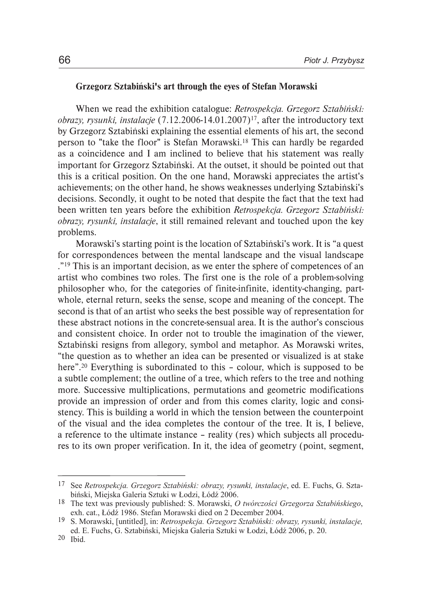#### Grzegorz Sztabiński's art through the eyes of Stefan Morawski

When we read the exhibition catalogue: *Retrospekcja. Grzegorz Sztabiński: obrazy, rysunki, instalacje* (7.12.2006-14.01.2007)17, after the introductory text by Grzegorz Sztabiński explaining the essential elements of his art, the second person to "take the floor" is Stefan Morawski.18 This can hardly be regarded as a coincidence and I am inclined to believe that his statement was really important for Grzegorz Sztabiński. At the outset, it should be pointed out that this is a critical position. On the one hand, Morawski appreciates the artist's achievements; on the other hand, he shows weaknesses underlying Sztabiński's decisions. Secondly, it ought to be noted that despite the fact that the text had been written ten years before the exhibition *Retrospekcja. Grzegorz Sztabiński: obrazy, rysunki, instalacje*, it still remained relevant and touched upon the key problems.

Morawski's starting point is the location of Sztabiński's work. It is "a quest for correspondences between the mental landscape and the visual landscape ."<sup>19</sup> This is an important decision, as we enter the sphere of competences of an artist who combines two roles. The first one is the role of a problem-solving philosopher who, for the categories of finite-infinite, identity-changing, partwhole, eternal return, seeks the sense, scope and meaning of the concept. The second is that of an artist who seeks the best possible way of representation for these abstract notions in the concrete-sensual area. It is the author's conscious and consistent choice. In order not to trouble the imagination of the viewer, Sztabiński resigns from allegory, symbol and metaphor. As Morawski writes, "the question as to whether an idea can be presented or visualized is at stake here".<sup>20</sup> Everything is subordinated to this – colour, which is supposed to be a subtle complement; the outline of a tree, which refers to the tree and nothing more. Successive multiplications, permutations and geometric modifications provide an impression of order and from this comes clarity, logic and consistency. This is building a world in which the tension between the counterpoint of the visual and the idea completes the contour of the tree. It is, I believe, a reference to the ultimate instance – reality (res) which subjects all procedures to its own proper verification. In it, the idea of geometry (point, segment,

See *Retrospekcja. Grzegorz Sztabiński: obrazy, rysunki, instalacje*, ed. E. Fuchs, G. Sztabiński, Miejska Galeria Sztuki w Łodzi, Łódź 2006. 17

The text was previously published: S. Morawski, *O twórczości Grzegorza Sztabińskiego*, 18 exh. cat., Łódź 1986. Stefan Morawski died on 2 December 2004.

S. Morawski, [untitled], in: *Retrospekcja. Grzegorz Sztabiński: obrazy, rysunki, instalacje,*  19 ed. E. Fuchs, G. Sztabiński, Miejska Galeria Sztuki w Łodzi, Łódź 2006, p. 20.

<sup>66</sup>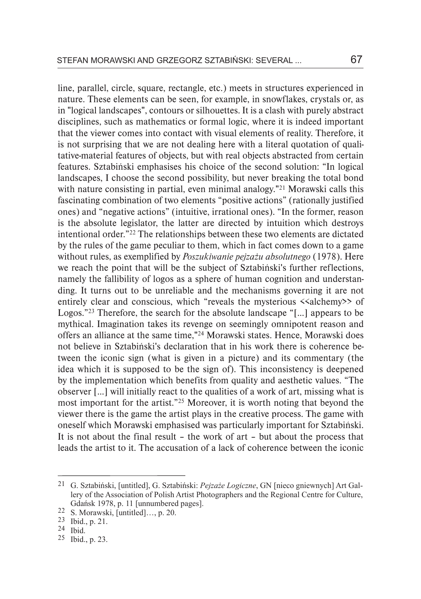line, parallel, circle, square, rectangle, etc.) meets in structures experienced in nature. These elements can be seen, for example, in snowflakes, crystals or, as in "logical landscapes", contours or silhouettes. It is a clash with purely abstract disciplines, such as mathematics or formal logic, where it is indeed important that the viewer comes into contact with visual elements of reality. Therefore, it is not surprising that we are not dealing here with a literal quotation of qualitative-material features of objects, but with real objects abstracted from certain features. Sztabiński emphasises his choice of the second solution: "In logical landscapes, I choose the second possibility, but never breaking the total bond with nature consisting in partial, even minimal analogy."<sup>21</sup> Morawski calls this fascinating combination of two elements "positive actions" (rationally justified ones) and "negative actions" (intuitive, irrational ones). "In the former, reason is the absolute legislator, the latter are directed by intuition which destroys intentional order."22 The relationships between these two elements are dictated by the rules of the game peculiar to them, which in fact comes down to a game without rules, as exemplified by *Poszukiwanie pejzażu absolutnego* (1978). Here we reach the point that will be the subject of Sztabiński's further reflections, namely the fallibility of logos as a sphere of human cognition and understanding. It turns out to be unreliable and the mechanisms governing it are not entirely clear and conscious, which "reveals the mysterious <<alchemy>> of Logos."23 Therefore, the search for the absolute landscape "[...] appears to be mythical. Imagination takes its revenge on seemingly omnipotent reason and offers an alliance at the same time,"24 Morawski states. Hence, Morawski does not believe in Sztabiński's declaration that in his work there is coherence between the iconic sign (what is given in a picture) and its commentary (the idea which it is supposed to be the sign of). This inconsistency is deepened by the implementation which benefits from quality and aesthetic values. "The observer [...] will initially react to the qualities of a work of art, missing what is most important for the artist."25 Moreover, it is worth noting that beyond the viewer there is the game the artist plays in the creative process. The game with oneself which Morawski emphasised was particularly important for Sztabiński. It is not about the final result – the work of art – but about the process that leads the artist to it. The accusation of a lack of coherence between the iconic

G. Sztabiński, [untitled], G. Sztabiński: *Pejzaże Logiczne*, GN [nieco gniewnych] Art Gal-21 lery of the Association of Polish Artist Photographers and the Regional Centre for Culture, Gdańsk 1978, p. 11 [unnumbered pages].

<sup>22</sup> S. Morawski, [untitled]..., p. 20.

<sup>23</sup> Ibid., p. 21.

<sup>24</sup> Ibid.

 $25$  Ibid., p. 23.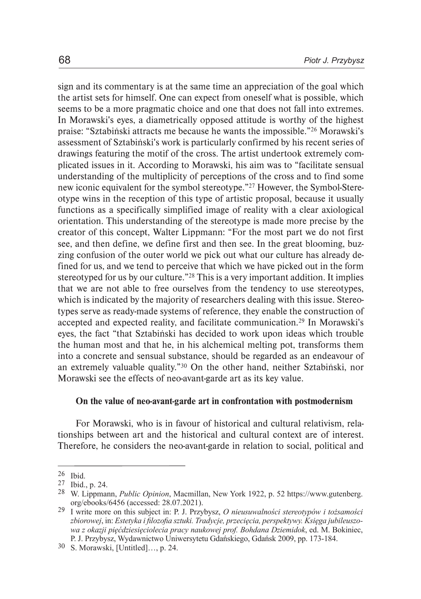sign and its commentary is at the same time an appreciation of the goal which the artist sets for himself. One can expect from oneself what is possible, which seems to be a more pragmatic choice and one that does not fall into extremes. In Morawski's eyes, a diametrically opposed attitude is worthy of the highest praise: "Sztabiński attracts me because he wants the impossible."26 Morawski's assessment of Sztabiński's work is particularly confirmed by his recent series of drawings featuring the motif of the cross. The artist undertook extremely complicated issues in it. According to Morawski, his aim was to "facilitate sensual understanding of the multiplicity of perceptions of the cross and to find some new iconic equivalent for the symbol stereotype."27 However, the Symbol-Stereotype wins in the reception of this type of artistic proposal, because it usually functions as a specifically simplified image of reality with a clear axiological orientation. This understanding of the stereotype is made more precise by the creator of this concept, Walter Lippmann: "For the most part we do not first see, and then define, we define first and then see. In the great blooming, buzzing confusion of the outer world we pick out what our culture has already defined for us, and we tend to perceive that which we have picked out in the form stereotyped for us by our culture."28 This is a very important addition. It implies that we are not able to free ourselves from the tendency to use stereotypes, which is indicated by the majority of researchers dealing with this issue. Stereotypes serve as ready-made systems of reference, they enable the construction of accepted and expected reality, and facilitate communication.29 In Morawski's eyes, the fact "that Sztabiński has decided to work upon ideas which trouble the human most and that he, in his alchemical melting pot, transforms them into a concrete and sensual substance, should be regarded as an endeavour of an extremely valuable quality."30 On the other hand, neither Sztabiński, nor Morawski see the effects of neo-avant-garde art as its key value.

#### On the value of neo-avant-garde art in confrontation with postmodernism

For Morawski, who is in favour of historical and cultural relativism, relationships between art and the historical and cultural context are of interest. Therefore, he considers the neo-avant-garde in relation to social, political and

 $26$  Ibid.

<sup>27</sup> Ibid., p. 24.

W. Lippmann, *Public Opinion*, Macmillan, New York 1922, p. 52 https://www.gutenberg. 28 org/ebooks/6456 (accessed: 28.07.2021).

I write more on this subject in: P. J. Przybysz, *O nieusuwalności stereotypów i tożsamości*  29 *zbiorowej*, in: *Estetyka i filozofia sztuki. Tradycje, przecięcia, perspektywy. Księga jubileuszowa z okazji pięćdziesięciolecia pracy naukowej prof. Bohdana Dziemidok*, ed. M. Bokiniec, P. J. Przybysz, Wydawnictwo Uniwersytetu Gdańskiego, Gdańsk 2009, pp. 173-184.

<sup>30</sup> S. Morawski, [Untitled]..., p. 24.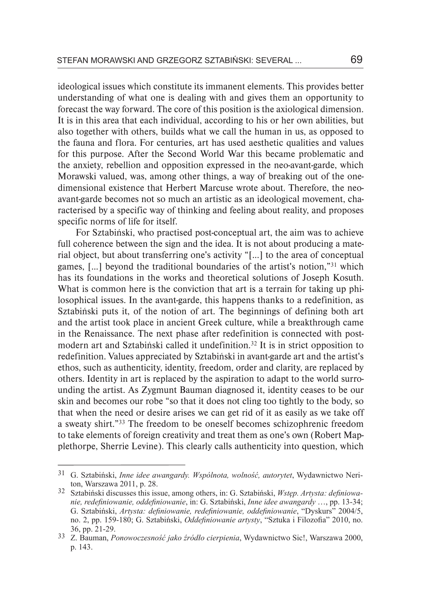ideological issues which constitute its immanent elements. This provides better understanding of what one is dealing with and gives them an opportunity to forecast the way forward. The core of this position is the axiological dimension. It is in this area that each individual, according to his or her own abilities, but also together with others, builds what we call the human in us, as opposed to the fauna and flora. For centuries, art has used aesthetic qualities and values for this purpose. After the Second World War this became problematic and the anxiety, rebellion and opposition expressed in the neo-avant-garde, which Morawski valued, was, among other things, a way of breaking out of the onedimensional existence that Herbert Marcuse wrote about. Therefore, the neoavant-garde becomes not so much an artistic as an ideological movement, characterised by a specific way of thinking and feeling about reality, and proposes specific norms of life for itself.

For Sztabiński, who practised post-conceptual art, the aim was to achieve full coherence between the sign and the idea. It is not about producing a material object, but about transferring one's activity "[...] to the area of conceptual games, [...] beyond the traditional boundaries of the artist's notion,"31 which has its foundations in the works and theoretical solutions of Joseph Kosuth. What is common here is the conviction that art is a terrain for taking up philosophical issues. In the avant-garde, this happens thanks to a redefinition, as Sztabiński puts it, of the notion of art. The beginnings of defining both art and the artist took place in ancient Greek culture, while a breakthrough came in the Renaissance. The next phase after redefinition is connected with postmodern art and Sztabiński called it undefinition.32 It is in strict opposition to redefinition. Values appreciated by Sztabiński in avant-garde art and the artist's ethos, such as authenticity, identity, freedom, order and clarity, are replaced by others. Identity in art is replaced by the aspiration to adapt to the world surrounding the artist. As Zygmunt Bauman diagnosed it, identity ceases to be our skin and becomes our robe "so that it does not cling too tightly to the body, so that when the need or desire arises we can get rid of it as easily as we take off a sweaty shirt."33 The freedom to be oneself becomes schizophrenic freedom to take elements of foreign creativity and treat them as one's own (Robert Mapplethorpe, Sherrie Levine). This clearly calls authenticity into question, which

G. Sztabiński, *Inne idee awangardy. Wspólnota, wolność, autorytet*, Wydawnictwo Neri-31 ton, Warszawa 2011, p. 28.

Sztabiński discusses this issue, among others, in: G. Sztabiński, *Wstęp. Artysta: definiowa-*32 *nie, redefiniowanie, oddefiniowanie*, in: G. Sztabiński, *Inne idee awangardy* …, pp. 13-34; G. Sztabiński, *Artysta: definiowanie, redefiniowanie, oddefiniowanie*, "Dyskurs" 2004/5, no. 2, pp. 159-180; G. Sztabiński, *Oddefiniowanie artysty*, "Sztuka i Filozofia" 2010, no. 36, pp. 21-29.

<sup>&</sup>lt;sup>33</sup> Z. Bauman, Ponowoczesność jako źródło cierpienia, Wydawnictwo Sic!, Warszawa 2000, p. 143.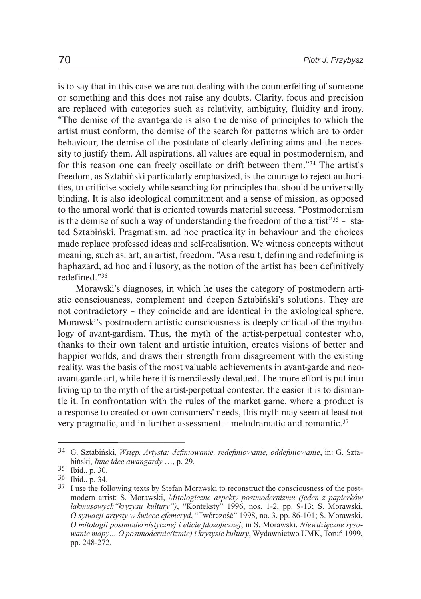is to say that in this case we are not dealing with the counterfeiting of someone or something and this does not raise any doubts. Clarity, focus and precision are replaced with categories such as relativity, ambiguity, fluidity and irony. "The demise of the avant-garde is also the demise of principles to which the artist must conform, the demise of the search for patterns which are to order behaviour, the demise of the postulate of clearly defining aims and the necessity to justify them. All aspirations, all values are equal in postmodernism, and for this reason one can freely oscillate or drift between them."34 The artist's freedom, as Sztabiński particularly emphasized, is the courage to reject authorities, to criticise society while searching for principles that should be universally binding. It is also ideological commitment and a sense of mission, as opposed to the amoral world that is oriented towards material success. "Postmodernism is the demise of such a way of understanding the freedom of the artist<sup>"35</sup> – stated Sztabiński. Pragmatism, ad hoc practicality in behaviour and the choices made replace professed ideas and self-realisation. We witness concepts without meaning, such as: art, an artist, freedom. "As a result, defining and redefining is haphazard, ad hoc and illusory, as the notion of the artist has been definitively redefined."36

Morawski's diagnoses, in which he uses the category of postmodern artistic consciousness, complement and deepen Sztabiński's solutions. They are not contradictory – they coincide and are identical in the axiological sphere. Morawski's postmodern artistic consciousness is deeply critical of the mythology of avant-gardism. Thus, the myth of the artist-perpetual contester who, thanks to their own talent and artistic intuition, creates visions of better and happier worlds, and draws their strength from disagreement with the existing reality, was the basis of the most valuable achievements in avant-garde and neoavant-garde art, while here it is mercilessly devalued. The more effort is put into living up to the myth of the artist-perpetual contester, the easier it is to dismantle it. In confrontation with the rules of the market game, where a product is a response to created or own consumers' needs, this myth may seem at least not very pragmatic, and in further assessment - melodramatic and romantic.<sup>37</sup>

G. Sztabiński, *Wstęp. Artysta: definiowanie, redefiniowanie, oddefiniowanie*, in: G. Szta-34 biński, *Inne idee awangardy* …, p. 29.

<sup>35</sup> Ibid., p. 30.

Ibid., p. 34. 36

 $37$  I use the following texts by Stefan Morawski to reconstruct the consciousness of the postmodern artist: S. Morawski, *Mitologiczne aspekty postmodernizmu (jeden z papierków lakmusowych"kryzysu kultury")*, "Konteksty" 1996, nos. 1-2, pp. 9-13; S. Morawski, *O sytuacji artysty w świece efemeryd*, "Twórczość" 1998, no. 3, pp. 86-101; S. Morawski, *O mitologii postmodernistycznej i elicie filozoficznej*, in S. Morawski, *Niewdzięczne rysowanie mapy… O postmodernie(izmie) i kryzysie kultury*, Wydawnictwo UMK, Toruń 1999, pp. 248-272.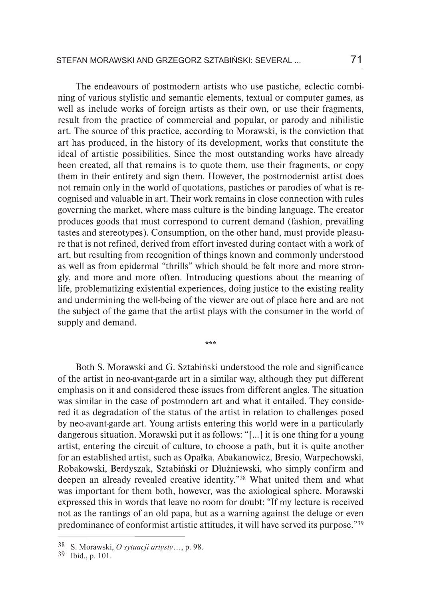The endeavours of postmodern artists who use pastiche, eclectic combining of various stylistic and semantic elements, textual or computer games, as well as include works of foreign artists as their own, or use their fragments, result from the practice of commercial and popular, or parody and nihilistic art. The source of this practice, according to Morawski, is the conviction that art has produced, in the history of its development, works that constitute the ideal of artistic possibilities. Since the most outstanding works have already been created, all that remains is to quote them, use their fragments, or copy them in their entirety and sign them. However, the postmodernist artist does not remain only in the world of quotations, pastiches or parodies of what is recognised and valuable in art. Their work remains in close connection with rules governing the market, where mass culture is the binding language. The creator produces goods that must correspond to current demand (fashion, prevailing tastes and stereotypes). Consumption, on the other hand, must provide pleasure that is not refined, derived from effort invested during contact with a work of art, but resulting from recognition of things known and commonly understood as well as from epidermal "thrills" which should be felt more and more strongly, and more and more often. Introducing questions about the meaning of life, problematizing existential experiences, doing justice to the existing reality and undermining the well-being of the viewer are out of place here and are not the subject of the game that the artist plays with the consumer in the world of supply and demand.

Both S. Morawski and G. Sztabiński understood the role and significance of the artist in neo-avant-garde art in a similar way, although they put different emphasis on it and considered these issues from different angles. The situation was similar in the case of postmodern art and what it entailed. They considered it as degradation of the status of the artist in relation to challenges posed by neo-avant-garde art. Young artists entering this world were in a particularly dangerous situation. Morawski put it as follows: "[...] it is one thing for a young artist, entering the circuit of culture, to choose a path, but it is quite another for an established artist, such as Opałka, Abakanowicz, Bresio, Warpechowski, Robakowski, Berdyszak, Sztabiński or Dłużniewski, who simply confirm and deepen an already revealed creative identity."38 What united them and what was important for them both, however, was the axiological sphere. Morawski expressed this in words that leave no room for doubt: "If my lecture is received not as the rantings of an old papa, but as a warning against the deluge or even predominance of conformist artistic attitudes, it will have served its purpose."39

\*\*\*

S. Morawski, *O sytuacji artysty*…, p. 98. 38

<sup>39</sup> Ibid., p. 101.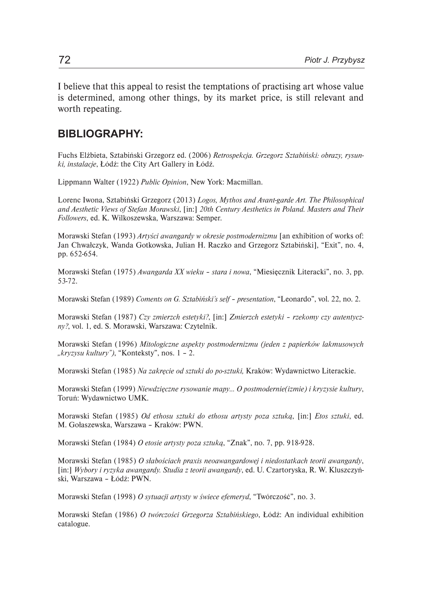I believe that this appeal to resist the temptations of practising art whose value is determined, among other things, by its market price, is still relevant and worth repeating.

## **BIBLIOGRAPHY:**

Fuchs Elżbieta, Sztabiński Grzegorz ed. (2006) *Retrospekcja. Grzegorz Sztabiński: obrazy, rysunki, instalacje*, Łódź: the City Art Gallery in Łódź.

Lippmann Walter (1922) *Public Opinion*, New York: Macmillan.

Lorenc Iwona, Sztabiński Grzegorz (2013) *Logos, Mythos and Avant-garde Art. The Philosophical and Aesthetic Views of Stefan Morawski*, [in:] *20th Century Aesthetics in Poland. Masters and Their Followers*, ed. K. Wilkoszewska, Warszawa: Semper.

Morawski Stefan (1993) *Artyści awangardy w okresie postmodernizmu* [an exhibition of works of: Jan Chwałczyk, Wanda Gotkowska, Julian H. Raczko and Grzegorz Sztabiński], "Exit", no. 4, pp. 652-654.

Morawski Stefan (1975) *Awangarda XX wieku – stara i nowa*, "Miesięcznik Literacki", no. 3, pp. 53-72.

Morawski Stefan (1989) *Coments on G. Sztabiński's self – presentation*, "Leonardo", vol. 22, no. 2.

Morawski Stefan (1987) *Czy zmierzch estetyki?*, [in:] *Zmierzch estetyki – rzekomy czy autentyczny?*, vol. 1, ed. S. Morawski, Warszawa: Czytelnik.

Morawski Stefan (1996) *Mitologiczne aspekty postmodernizmu (jeden z papierków lakmusowych "kryzysu kultury")*, "Konteksty", nos. 1 – 2.

Morawski Stefan (1985) *Na zakręcie od sztuki do po-sztuki,* Kraków: Wydawnictwo Literackie.

Morawski Stefan (1999) *Niewdzięczne rysowanie mapy… O postmodernie(izmie) i kryzysie kultury*, Toruń: Wydawnictwo UMK.

Morawski Stefan (1985) *Od ethosu sztuki do ethosu artysty poza sztuką*, [in:] *Etos sztuki*, ed. M. Gołaszewska, Warszawa – Kraków: PWN.

Morawski Stefan (1984) *O etosie artysty poza sztuką*, "Znak", no. 7, pp. 918-928.

Morawski Stefan (1985) *O słabościach praxis neoawangardowej i niedostatkach teorii awangardy*, [in:] *Wybory i ryzyka awangardy. Studia z teorii awangardy*, ed. U. Czartoryska, R. W. Kluszczyński, Warszawa – Łódź: PWN.

Morawski Stefan (1998) *O sytuacji artysty w świece efemeryd*, "Twórczość", no. 3.

Morawski Stefan (1986) *O twórczości Grzegorza Sztabińskiego*, Łódź: An individual exhibition catalogue.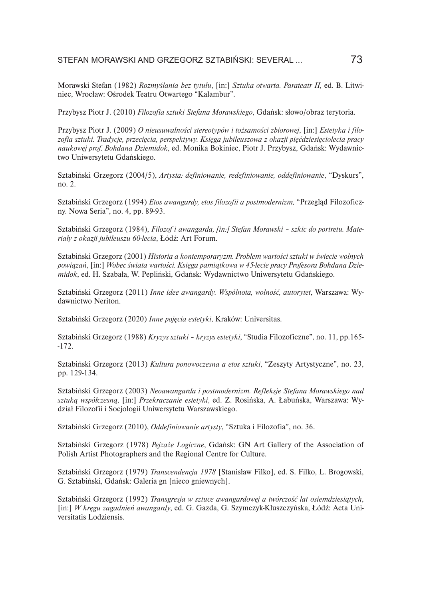Morawski Stefan (1982) *Rozmyślania bez tytułu*, [in:] *Sztuka otwarta. Parateatr II,* ed. B. Litwiniec, Wrocław: Ośrodek Teatru Otwartego "Kalambur".

Przybysz Piotr J. (2010) *Filozofia sztuki Stefana Morawskiego*, Gdańsk: słowo/obraz terytoria.

Przybysz Piotr J. (2009) *O nieusuwalności stereotypów i tożsamości zbiorowej*, [in:] *Estetyka i filozofia sztuki. Tradycje, przecięcia, perspektywy. Księga jubileuszowa z okazji pięćdziesięciolecia pracy naukowej prof. Bohdana Dziemidok*, ed. Monika Bokiniec, Piotr J. Przybysz, Gdańsk: Wydawnictwo Uniwersytetu Gdańskiego.

Sztabiński Grzegorz (2004/5), *Artysta: definiowanie, redefiniowanie, oddefiniowanie*, "Dyskurs", no. 2.

Sztabiński Grzegorz (1994) *Etos awangardy, etos filozofii a postmodernizm,* "Przegląd Filozoficzny. Nowa Seria", no. 4, pp. 89-93.

Sztabiński Grzegorz (1984), *Filozof i awangarda, [in:] Stefan Morawski – szkic do portretu. Materiały z okazji jubileuszu 60-lecia*, Łódź: Art Forum.

Sztabiński Grzegorz (2001) *Historia a kontemporaryzm. Problem wartości sztuki w świecie wolnych powiązań*, [in:] *Wobec świata wartości. Księga pamiątkowa w 45-lecie pracy Profesora Bohdana Dziemidok*, ed. H. Szabała, W. Pepliński, Gdańsk: Wydawnictwo Uniwersytetu Gdańskiego.

Sztabiński Grzegorz (2011) *Inne idee awangardy. Wspólnota, wolność, autorytet*, Warszawa: Wydawnictwo Neriton.

Sztabiński Grzegorz (2020) *Inne pojęcia estetyki*, Kraków: Universitas.

Sztabiński Grzegorz (1988) *Kryzys sztuki – kryzys estetyki*, "Studia Filozoficzne", no. 11, pp.165- -172.

Sztabiński Grzegorz (2013) *Kultura ponowoczesna a etos sztuki*, "Zeszyty Artystyczne", no. 23, pp. 129-134.

Sztabiński Grzegorz (2003) *Neoawangarda i postmodernizm. Refleksje Stefana Morawskiego nad sztuką współczesną*, [in:] *Przekraczanie estetyki*, ed. Z. Rosińska, A. Łabuńska, Warszawa: Wydział Filozofii i Socjologii Uniwersytetu Warszawskiego.

Sztabiński Grzegorz (2010), *Oddefiniowanie artysty*, "Sztuka i Filozofia", no. 36.

Sztabiński Grzegorz (1978) *Pejzaże Logiczne*, Gdańsk: GN Art Gallery of the Association of Polish Artist Photographers and the Regional Centre for Culture.

Sztabiński Grzegorz (1979) *Transcendencja 1978* [Stanisław Filko], ed. S. Filko, L. Brogowski, G. Sztabiński, Gdańsk: Galeria gn [nieco gniewnych].

Sztabiński Grzegorz (1992) *Transgresja w sztuce awangardowej a twórczość lat osiemdziesiątych*, [in:] *W kręgu zagadnień awangardy*, ed. G. Gazda, G. Szymczyk-Kluszczyńska, Łódź: Acta Universitatis Lodziensis.